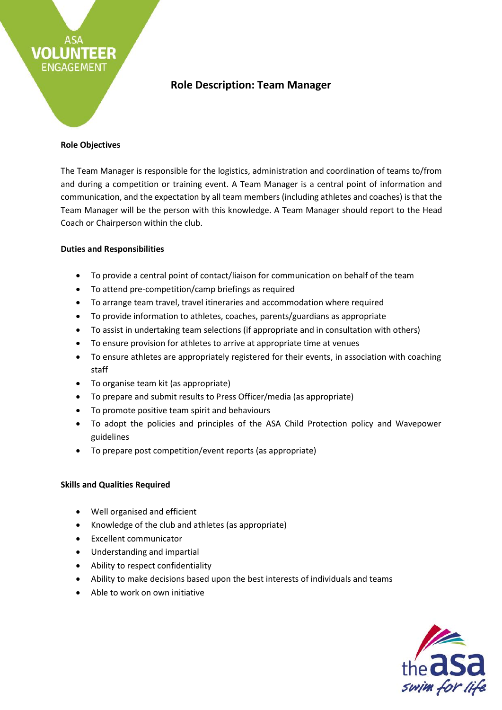# **Role Description: Team Manager**

### **Role Objectives**

TEER

**VOLUN** 

**ENGAGEMENT** 

The Team Manager is responsible for the logistics, administration and coordination of teams to/from and during a competition or training event. A Team Manager is a central point of information and communication, and the expectation by all team members (including athletes and coaches) is that the Team Manager will be the person with this knowledge. A Team Manager should report to the Head Coach or Chairperson within the club.

# **Duties and Responsibilities**

- To provide a central point of contact/liaison for communication on behalf of the team
- To attend pre-competition/camp briefings as required
- To arrange team travel, travel itineraries and accommodation where required
- To provide information to athletes, coaches, parents/guardians as appropriate
- To assist in undertaking team selections (if appropriate and in consultation with others)
- To ensure provision for athletes to arrive at appropriate time at venues
- To ensure athletes are appropriately registered for their events, in association with coaching staff
- To organise team kit (as appropriate)
- To prepare and submit results to Press Officer/media (as appropriate)
- To promote positive team spirit and behaviours
- To adopt the policies and principles of the ASA Child Protection policy and Wavepower guidelines
- To prepare post competition/event reports (as appropriate)

# **Skills and Qualities Required**

- Well organised and efficient
- Knowledge of the club and athletes (as appropriate)
- Excellent communicator
- Understanding and impartial
- Ability to respect confidentiality
- Ability to make decisions based upon the best interests of individuals and teams
- Able to work on own initiative